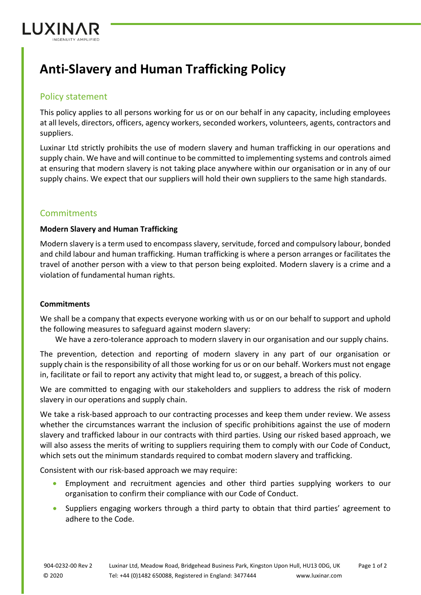

# **Anti-Slavery and Human Trafficking Policy**

## Policy statement

This policy applies to all persons working for us or on our behalf in any capacity, including employees at all levels, directors, officers, agency workers, seconded workers, volunteers, agents, contractors and suppliers.

Luxinar Ltd strictly prohibits the use of modern slavery and human trafficking in our operations and supply chain. We have and will continue to be committed to implementing systems and controls aimed at ensuring that modern slavery is not taking place anywhere within our organisation or in any of our supply chains. We expect that our suppliers will hold their own suppliers to the same high standards.

## **Commitments**

### **Modern Slavery and Human Trafficking**

Modern slavery is a term used to encompass slavery, servitude, forced and compulsory labour, bonded and child labour and human trafficking. Human trafficking is where a person arranges or facilitates the travel of another person with a view to that person being exploited. Modern slavery is a crime and a violation of fundamental human rights.

### **Commitments**

We shall be a company that expects everyone working with us or on our behalf to support and uphold the following measures to safeguard against modern slavery:

We have a zero-tolerance approach to modern slavery in our organisation and our supply chains.

The prevention, detection and reporting of modern slavery in any part of our organisation or supply chain is the responsibility of all those working for us or on our behalf. Workers must not engage in, facilitate or fail to report any activity that might lead to, or suggest, a breach of this policy.

We are committed to engaging with our stakeholders and suppliers to address the risk of modern slavery in our operations and supply chain.

We take a risk-based approach to our contracting processes and keep them under review. We assess whether the circumstances warrant the inclusion of specific prohibitions against the use of modern slavery and trafficked labour in our contracts with third parties. Using our risked based approach, we will also assess the merits of writing to suppliers requiring them to comply with our Code of Conduct, which sets out the minimum standards required to combat modern slavery and trafficking.

Consistent with our risk-based approach we may require:

- Employment and recruitment agencies and other third parties supplying workers to our organisation to confirm their compliance with our Code of Conduct.
- Suppliers engaging workers through a third party to obtain that third parties' agreement to adhere to the Code.